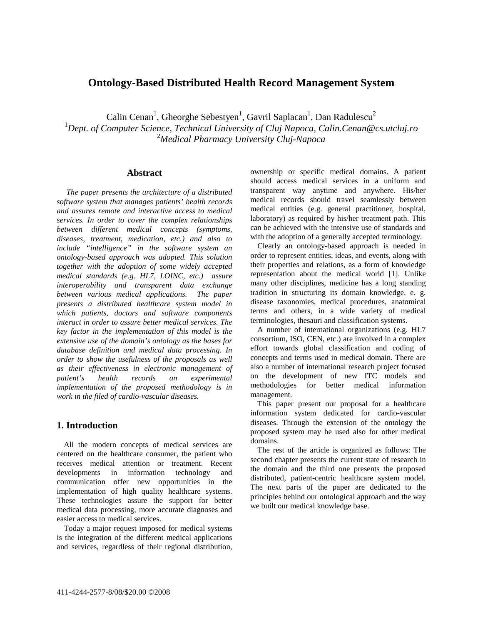# **Ontology-Based Distributed Health Record Management System**

Calin Cenan<sup>1</sup>, Gheorghe Sebestyen<sup>1</sup>, Gavril Saplacan<sup>1</sup>, Dan Radulescu<sup>2</sup> <sup>1</sup>*Dept. of Computer Science, Technical University of Cluj Napoca, Calin.Cenan@cs.utcluj.ro*  <sup>2</sup>*Medical Pharmacy University Cluj-Napoca* 

### **Abstract**

*The paper presents the architecture of a distributed software system that manages patients' health records and assures remote and interactive access to medical services. In order to cover the complex relationships between different medical concepts (symptoms, diseases, treatment, medication, etc.) and also to include "intelligence" in the software system an ontology-based approach was adopted. This solution together with the adoption of some widely accepted medical standards (e.g. HL7, LOINC, etc.) assure interoperability and transparent data exchange between various medical applications. The paper presents a distributed healthcare system model in which patients, doctors and software components interact in order to assure better medical services. The key factor in the implementation of this model is the extensive use of the domain's ontology as the bases for database definition and medical data processing. In order to show the usefulness of the proposals as well as their effectiveness in electronic management of patient's health records an experimental implementation of the proposed methodology is in work in the filed of cardio-vascular diseases.* 

## **1. Introduction**

All the modern concepts of medical services are centered on the healthcare consumer, the patient who receives medical attention or treatment. Recent developments in information technology and communication offer new opportunities in the implementation of high quality healthcare systems. These technologies assure the support for better medical data processing, more accurate diagnoses and easier access to medical services.

Today a major request imposed for medical systems is the integration of the different medical applications and services, regardless of their regional distribution,

ownership or specific medical domains. A patient should access medical services in a uniform and transparent way anytime and anywhere. His/her medical records should travel seamlessly between medical entities (e.g. general practitioner, hospital, laboratory) as required by his/her treatment path. This can be achieved with the intensive use of standards and with the adoption of a generally accepted terminology.

Clearly an ontology-based approach is needed in order to represent entities, ideas, and events, along with their properties and relations, as a form of knowledge representation about the medical world [1]. Unlike many other disciplines, medicine has a long standing tradition in structuring its domain knowledge, e. g. disease taxonomies, medical procedures, anatomical terms and others, in a wide variety of medical terminologies, thesauri and classification systems.

A number of international organizations (e.g. HL7 consortium, ISO, CEN, etc.) are involved in a complex effort towards global classification and coding of concepts and terms used in medical domain. There are also a number of international research project focused on the development of new ITC models and methodologies for better medical information management.

This paper present our proposal for a healthcare information system dedicated for cardio-vascular diseases. Through the extension of the ontology the proposed system may be used also for other medical domains.

The rest of the article is organized as follows: The second chapter presents the current state of research in the domain and the third one presents the proposed distributed, patient-centric healthcare system model. The next parts of the paper are dedicated to the principles behind our ontological approach and the way we built our medical knowledge base.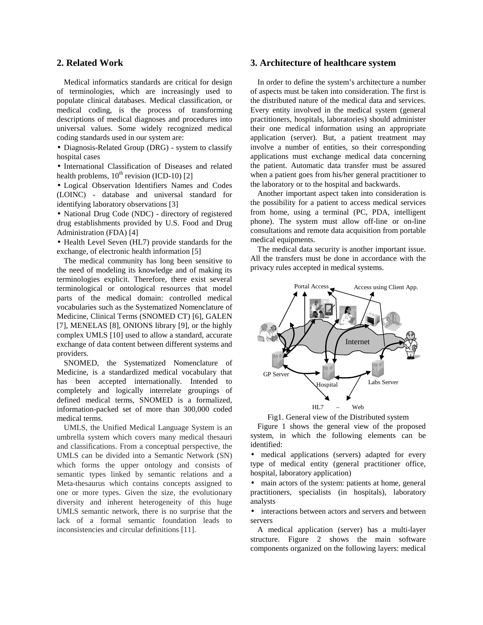#### **2. Related Work**

Medical informatics standards are critical for design of terminologies, which are increasingly used to populate clinical databases. Medical classification, or medical coding, is the process of transforming descriptions of medical diagnoses and procedures into universal values. Some widely recognized medical coding standards used in our system are:

• Diagnosis-Related Group (DRG) - system to classify hospital cases

• International Classification of Diseases and related health problems,  $10^{th}$  revision (ICD-10) [2]

• Logical Observation Identifiers Names and Codes (LOINC) - database and universal standard for identifying laboratory observations [3]

• National Drug Code (NDC) - directory of registered drug establishments provided by U.S. Food and Drug Administration (FDA) [4]

• Health Level Seven (HL7) provide standards for the exchange, of electronic health information [5]

The medical community has long been sensitive to the need of modeling its knowledge and of making its terminologies explicit. Therefore, there exist several terminological or ontological resources that model parts of the medical domain: controlled medical vocabularies such as the Systematized Nomenclature of Medicine, Clinical Terms (SNOMED CT) [6], GALEN [7], MENELAS [8], ONIONS library [9], or the highly complex UMLS [10] used to allow a standard, accurate exchange of data content between different systems and providers.

SNOMED, the Systematized Nomenclature of Medicine, is a standardized medical vocabulary that has been accepted internationally. Intended to completely and logically interrelate groupings of defined medical terms, SNOMED is a formalized, information-packed set of more than 300,000 coded medical terms.

UMLS, the Unified Medical Language System is an umbrella system which covers many medical thesauri and classifications. From a conceptual perspective, the UMLS can be divided into a Semantic Network (SN) which forms the upper ontology and consists of semantic types linked by semantic relations and a Meta-thesaurus which contains concepts assigned to one or more types. Given the size, the evolutionary diversity and inherent heterogeneity of this huge UMLS semantic network, there is no surprise that the lack of a formal semantic foundation leads to inconsistencies and circular definitions [11].

#### **3. Architecture of healthcare system**

In order to define the system's architecture a number of aspects must be taken into consideration. The first is the distributed nature of the medical data and services. Every entity involved in the medical system (general practitioners, hospitals, laboratories) should administer their one medical information using an appropriate application (server). But, a patient treatment may involve a number of entities, so their corresponding applications must exchange medical data concerning the patient. Automatic data transfer must be assured when a patient goes from his/her general practitioner to the laboratory or to the hospital and backwards.

Another important aspect taken into consideration is the possibility for a patient to access medical services from home, using a terminal (PC, PDA, intelligent phone). The system must allow off-line or on-line consultations and remote data acquisition from portable medical equipments.

The medical data security is another important issue. All the transfers must be done in accordance with the privacy rules accepted in medical systems.



Fig1. General view of the Distributed system

Figure 1 shows the general view of the proposed system, in which the following elements can be identified:

• medical applications (servers) adapted for every type of medical entity (general practitioner office, hospital, laboratory application)

• main actors of the system: patients at home, general practitioners, specialists (in hospitals), laboratory analysts

• interactions between actors and servers and between servers

A medical application (server) has a multi-layer structure. Figure 2 shows the main software components organized on the following layers: medical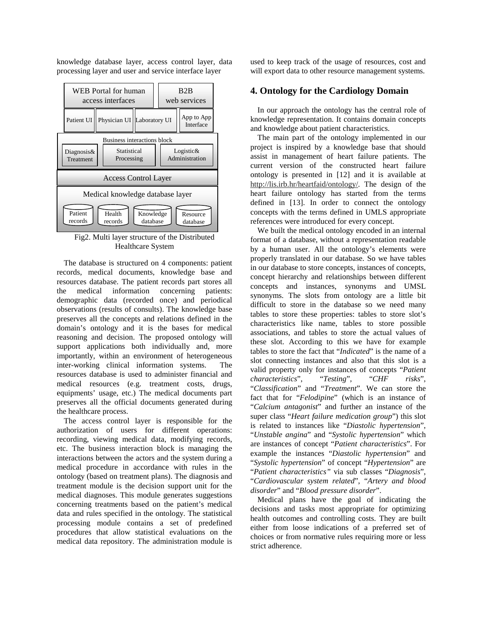knowledge database layer, access control layer, data processing layer and user and service interface layer



Fig2. Multi layer structure of the Distributed Healthcare System

The database is structured on 4 components: patient records, medical documents, knowledge base and resources database. The patient records part stores all the medical information concerning patients: demographic data (recorded once) and periodical observations (results of consults). The knowledge base preserves all the concepts and relations defined in the domain's ontology and it is the bases for medical reasoning and decision. The proposed ontology will support applications both individually and, more importantly, within an environment of heterogeneous inter-working clinical information systems. The resources database is used to administer financial and medical resources (e.g. treatment costs, drugs, equipments' usage, etc.) The medical documents part preserves all the official documents generated during the healthcare process.

The access control layer is responsible for the authorization of users for different operations: recording, viewing medical data, modifying records, etc. The business interaction block is managing the interactions between the actors and the system during a medical procedure in accordance with rules in the ontology (based on treatment plans). The diagnosis and treatment module is the decision support unit for the medical diagnoses. This module generates suggestions concerning treatments based on the patient's medical data and rules specified in the ontology. The statistical processing module contains a set of predefined procedures that allow statistical evaluations on the medical data repository. The administration module is

used to keep track of the usage of resources, cost and will export data to other resource management systems.

## **4. Ontology for the Cardiology Domain**

In our approach the ontology has the central role of knowledge representation. It contains domain concepts and knowledge about patient characteristics.

The main part of the ontology implemented in our project is inspired by a knowledge base that should assist in management of heart failure patients. The current version of the constructed heart failure ontology is presented in [12] and it is available at http://lis.irb.hr/heartfaid/ontology/. The design of the heart failure ontology has started from the terms defined in [13]. In order to connect the ontology concepts with the terms defined in UMLS appropriate references were introduced for every concept.

We built the medical ontology encoded in an internal format of a database, without a representation readable by a human user. All the ontology's elements were properly translated in our database. So we have tables in our database to store concepts, instances of concepts, concept hierarchy and relationships between different concepts and instances, synonyms and UMSL synonyms. The slots from ontology are a little bit difficult to store in the database so we need many tables to store these properties: tables to store slot's characteristics like name, tables to store possible associations, and tables to store the actual values of these slot. According to this we have for example tables to store the fact that "*Indicated*" is the name of a slot connecting instances and also that this slot is a valid property only for instances of concepts "*Patient characteristics*", "*Testing*", "*CHF risks*", "*Classification*" and "*Treatment*". We can store the fact that for "*Felodipine*" (which is an instance of "*Calcium antagonist*" and further an instance of the super class "*Heart failure medication group*") this slot is related to instances like "*Diastolic hypertension*", "*Unstable angina*" and "*Systolic hypertension*" which are instances of concept "*Patient characteristics*". For example the instances "*Diastolic hypertension*" and "*Systolic hypertension*" of concept "*Hypertension*" are "*Patient characteristics"* via sub classes "*Diagnosis*", "*Cardiovascular system related*", "*Artery and blood disorder*" and "*Blood pressure disorder*".

Medical plans have the goal of indicating the decisions and tasks most appropriate for optimizing health outcomes and controlling costs. They are built either from loose indications of a preferred set of choices or from normative rules requiring more or less strict adherence.